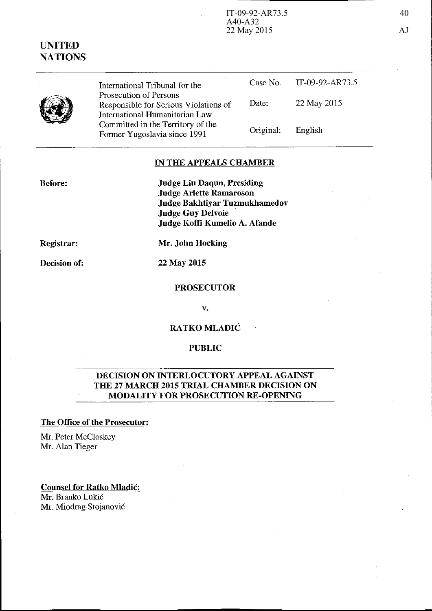# UNITED **NATIONS**

(I)

Before:

International Tribunal for the Prosecution of Persons Responsible for Serious Violations of International Humanitarian Law Committed in the Territory of the Fonner Yugoslavia since 1991 Case No. Date: Original: IT-09-92-AR73.5 22 May 2015 English

# IN THE APPEALS CHAMBER

Judge Liu Daqun, Presiding Judge Arlette Ramaroson Judge Bakhtiyar Tuzmukhamedov Judge Guy Delvoie Judge Koffi Kumelio A. Afande

Registrar:

Mr. John Hocking

Decision of:

22 May 2015

#### PROSECUTOR

v.

RATKO MLADIC

#### PUBLIC

# DECISION ON INTERLOCUTORY APPEAL AGAINST THE 27 MARCH 2015 TRIAL CHAMBER DECISION ON MODALITY FOR PROSECUTION RE-OPENING

#### The Office of the Prosecutor:

Mr. Peter McCloskey Mr. Alan Tieger

Counsel for Ratko Mladic: Mr. Branko Lukic Mr. Miodrag Stojanovic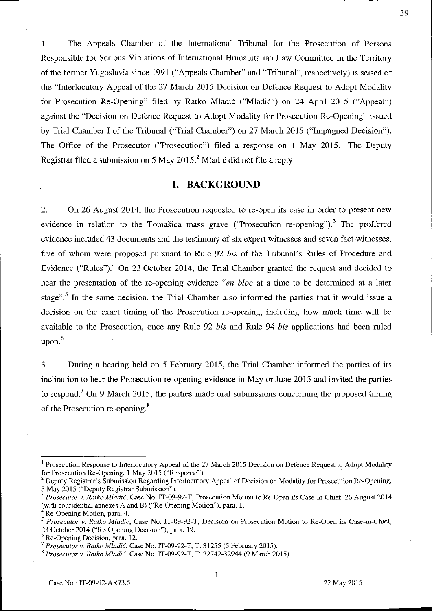1. The Appeals Chamber of the Intemational Tribunal for the Prosecution of Persons Responsible for Serious Violations of International Humanitarian Law Committed in the Territory of the former Yugoslavia since 1991 ("Appeals Chamber" and "Tribunal", respectively) is seised of the "Interlocutory Appeal of the 27 March 2015 Decision on Defence Request to Adopt Modality for Prosecution Re-Opening" filed by Ratko Mladic ("Mladic") on 24 April 2015 ("Appeal") against the "Decision on Defence Request to Adopt Modality for Prosecution Re-Opening" issued by Trial Chamber I of the Tribunal ("Trial Chamber") on 27 March 2015 ("Impugned Decision"). The Office of the Prosecutor ("Prosecution") filed a response on 1 May 2015.<sup>1</sup> The Deputy Registrar filed a submission on 5 May 2015.<sup>2</sup> Mladic did not file a reply.

### **I. BACKGROUND**

2. On 26 August 2014, the Prosecution requested to re-open its case in order to present new evidence in relation to the Tomašica mass grave ("Prosecution re-opening").<sup>3</sup> The proffered evidence included 43 documents and the testimony of six expert witnesses and seven fact witnesses, five of whom were proposed pursuant to Rule 92 *his* of the Tribunal's Rules of Procedure and Evidence ("Rules").<sup>4</sup> On 23 October 2014, the Trial Chamber granted the request and decided to hear the presentation of the re-opening evidence *"en bloc* at a time to be detennined at a later stage".<sup>5</sup> In the same decision, the Trial Chamber also informed the parties that it would issue a decision on the exact timing of the Prosecution re-opening, including how much time will be available to the Prosecution, once any Rule 92 *bis* and Rule 94 *bis* applications had been ruled upon. 6

3. During a hearing held on 5 February 2015, the Trial Chamber informed the parties of its inclination to hear the Prosecution re-opening evidence in Mayor June 2015 and invited the parties to respond.<sup>7</sup> On 9 March 2015, the parties made oral submissions concerning the proposed timing of the Prosecution re-opening. <sup>8</sup>

1

<sup>&</sup>lt;sup>1</sup> Prosecution Response to Interlocutory Appeal of the 27 March 2015 Decision on Defence Request to Adopt Modality for Prosecution Re-Opening, 1 May 2015 ("Response").

Deputy Registrar's Submission Regarding Interlocutory Appeal of Decision on Modality for Prosecution Re-Opening, 5 May 2015 ("Deputy Registrar Submission").

*<sup>3</sup> Prosecutor* v. *Ratko Mladic,* Case No. IT-09-92-T, Prosecution Motion (0 Re-Open its Case-in-Chief, 26 August 2014 (with confidential annexes A and S) ("Re-Opening Motion"), para. L

Re-Opening Motion, para. 4.

*<sup>5</sup>Prosecutor* **v.** *Ratko* **Mladic, Case No. IT-09-92-T, Decision on Prosecution Motion to Re-Open its Case-in-Chief,** 

<sup>23</sup> October 2014 ("Re-Opening Decision"), para. 12.

<sup>6</sup> Re-Opening Decision, para. 12.

<sup>7</sup>*Prosecutor* v. *Ratko Mladic,* Case No. IT-09-92-T, T. 31255 (5 February 2015).

<sup>8</sup>*Prosecutor* v. *Ratko Mladic,* Case No. IT-09-92-T, T. 32742-32944 (9 March 2015).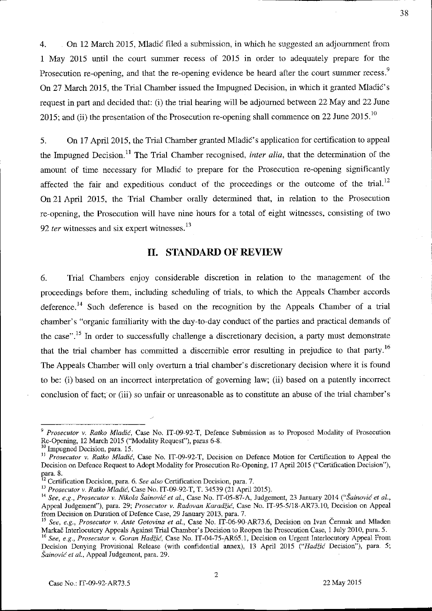4. On 12 March 2015, M1adic filed a submission, in which he suggested an adjournment from 1 May 2015 until the court summer recess of 2015 in order to adequately prepare for the Prosecution re-opening, and that the re-opening evidence be heard after the court summer recess.<sup>9</sup> On 27 March 2015, the Trial Chamber issued the Impugned Decision, in which it granted Mladić's request in part and decided that: (i) the trial hearing will be adjourned between 22 May and 22 June 2015; and (ii) the presentation of the Prosecution re-opening shall commence on 22 June 2015.<sup>10</sup>

5. On 17 April 2015, the Trial Chamber granted Mladić's application for certification to appeal the Impugned Decision.<sup>11</sup> The Trial Chamber recognised, *inter alia*, that the determination of the amount of time necessary for Mladic to prepare for the Prosecution re-opening significantly affected the fair and expeditious conduct of the proceedings or the outcome of the trial.<sup>12</sup> On 21 April 2015, the Trial Chamber orally determined that, in relation to the Prosecution re-opening, the Prosecution will have nine hours for a total of eight witnesses, consisting of two 92  $ter$  witnesses and six expert witnesses.<sup>13</sup>

# **II. STANDARD OF REVIEW**

6. Trial Chambers enjoy considerable discretion in relation to the management of the proceedings before them, including scheduling of trials, to which the Appeals Chamber accords deference.<sup>14</sup> Such deference is based on the recognition by the Appeals Chamber of a trial chamber's "organic familiarity with the day-to-day conduct of the parties and practical demands of the case".<sup>15</sup> In order to successfully challenge a discretionary decision, a party must demonstrate that the trial chamber has committed a discernible error resulting in prejudice to that party.<sup>16</sup> The Appeals Chamber will only overturn a trial chamber's discretionary decision where it is found to be: (i) based on an incorrect interpretation of governing law; (ii) based on a patently incorrect conclusion of fact; or (iii) so unfair or unreasonable as to constitute an abuse of the trial chamber's

*<sup>9</sup> Prosecutor* v. *Ratko Mladic,* Case No. IT-09-92-T, Defence Submission as to Proposed Modality of Prosecution Re-Opening, 12 March 2015 ("Modality Request"), paras 6-8.

 $^{10}$  Impugned Decision, para. 15.

<sup>&</sup>lt;sup>11</sup> Prosecutor v. *Ratko Mladić*, Case No. IT-09-92-T, Decision on Defence Motion for Certification to Appeal the Decision on Defence Request to Adopt Modality for Prosecution Re-Opening, 17 April 2015 ("Certification Decision"), para. 8.

**<sup>12</sup> Certification Decision, para. 6.** *See also* **Certification Decision, para. 7.** 

<sup>13</sup>*Prosecutor* v. *Ratko Mladic,* Case No. IT-09-92-T, T. 34539 (21 April 2015).

<sup>&</sup>lt;sup>14</sup> See, e.g., Prosecutor v. Nikola Šainović et al., Case No. IT-05-87-A, Judgement, 23 January 2014 ("Šainović et al., Appeal Judgement"), para. 29; *Prosecutor* v. *Radovan Karadzic,* Case No. IT-95-5118-AR73.1O, Decision on Appeal from Decision on Duration of Defence Case, 29 January 2013, para. 7.

<sup>15</sup>*See, e.g., Prosecutor* v. *Anle Golovina et aI.,* Case No. IT-06-90-AR73.6, Decision on Ivan Cermak and Mladen Markac Interlocutory Appeals Against Trial Chamber's Decision to Reopen the Prosecution Case, 1 July 2010, para. 5.

<sup>&</sup>lt;sup>16</sup> See, e.g., Prosecutor v. *Goran Hadžić*, Case No. IT-04-75-AR65.1, Decision on Urgent Interlocutory Appeal From Decision Denying Provisional Release (with confidential annex), 13 April 2015 *("Hadiic* Decision"), para. 5; *Sainovic el 01.,* Appeal Judgement, para. 29.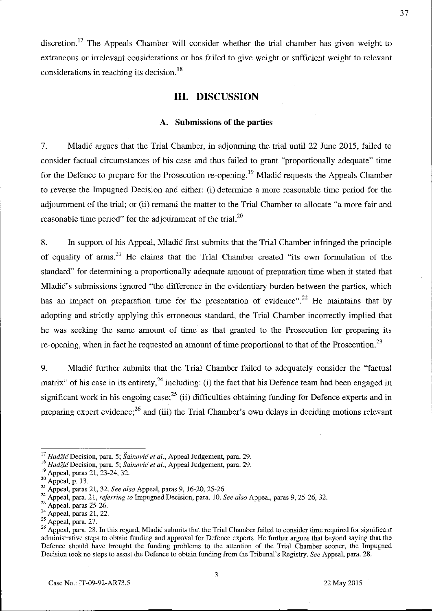discretion.<sup>17</sup> The Appeals Chamber will consider whether the trial chamber has given weight to extraneous or irrelevant considerations or has failed to give weight or sufficient weight to relevant considerations in reaching its decision.<sup>18</sup>

#### **III. DISCUSSION**

#### **A. Submissions of the parties**

7. Mladic argues that the Trial Chamber, in adjourning the trial until 22 June 2015, failed to consider factual circumstances of his case and thus failed to grant "proportionally adequate" time for the Defence to prepare for the Prosecution re-opening.<sup>19</sup> Mladic requests the Appeals Chamber to reverse the Impugned Decision and either: (i) determine a more reasonable time period for the adjournment of the trial; or (ii) remand the matter to the Trial Chamber to allocate "a more fair and reasonable time period" for the adjournment of the trial. $^{20}$ 

8. **In** support of his Appeal, Mladic first submits that the Trial Chamber infringed the principle of equality of arms.<sup>21</sup> He claims that the Trial Chamber created "its own formulation of the standard" for determining a proportionally adequate amount of preparation time when it stated that Mladic's submissions ignored "the difference in the evidentiary burden between the parties, which has an impact on preparation time for the presentation of evidence".<sup>22</sup> He maintains that by adopting and strictly applying this erroneous standard, the Trial Chamber incorrectly implied that he was seeking the same amount of time as that granted to the Prosecution for preparing its re-opening, when in fact he requested an amount of time proportional to that of the Prosecution.<sup>23</sup>

9. Mladic further submits that the Trial Chamber failed to adequately consider the "factual matrix" of his case in its entirety,  $^{24}$  including: (i) the fact that his Defence team had been engaged in significant work in his ongoing case;<sup>25</sup> (ii) difficulties obtaining funding for Defence experts and in preparing expert evidence;<sup>26</sup> and (iii) the Trial Chamber's own delays in deciding motions relevant

<sup>&</sup>lt;sup>17</sup>*Hadžić* Decision, para. 5; Šainović et al., Appeal Judgement, para. 29.

<sup>&</sup>lt;sup>18</sup> Hadžić Decision, para. 5; Šainović et al., Appeal Judgement, para. 29.

<sup>&</sup>lt;sup>19</sup> Appeal, paras 21, 23-24, 32.

 $^{20}$  Appeal, p. 13.

<sup>2</sup>t Appeal, paras 21, 32. *See also* Appeal, paras 9, 16-20, 25-26.

<sup>22</sup>Appeal, para. 21, *referring to* Impugned Decision, para. 10. *See also* Appeal, paras 9, 25-26, 32.

 $23$  Appeal, paras 25-26.

 $24$  Appeal, paras 21, 22.

 $25$  Appeal, para. 27.

<sup>&</sup>lt;sup>26</sup> Appeal, para. 28. In this regard, Mladić submits that the Trial Chamber failed to consider time required for significant administrative steps to obtain funding and approval for Defence experts. He further argues that beyond saying that the Defence should have brought the funding problems to the attention of the Trial Chamber sooner, the Impugned Decision took no steps to assist the Defence to obtain funding from the Tribunal's Registry. *See* Appeal, para. 28.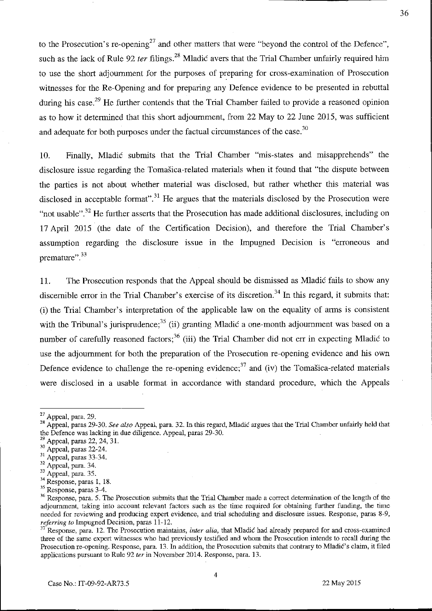to the Prosecution's re-opening<sup>27</sup> and other matters that were "beyond the control of the Defence", such as the lack of Rule 92 ter filings.<sup>28</sup> Mladic avers that the Trial Chamber unfairly required him to use the short adjournment for the purposes of preparing for cross-examination of Prosecution witnesses for the Re-Opening and for preparing any Defence evidence to be presented in rebuttal during his case.<sup>29</sup> He further contends that the Trial Chamber failed to provide a reasoned opinion as to how it determined that this short adjournment, from 22 May to 22 June 2015, was sufficient and adequate for both purposes under the factual circumstances of the case.<sup>30</sup>

10, Finally, Mladic submits that the Trial Chamber "mis-states and misapprehends" the disclosure issue regarding the Tomasica-related materials when it found that "the dispute between the parties is not about whether material was disclosed, but rather whether this material was disclosed in acceptable format".<sup>31</sup> He argues that the materials disclosed by the Prosecution were "not usable".<sup>32</sup> He further asserts that the Prosecution has made additional disclosures, including on 17 April 2015 (the date of the Certification Decision), and therefore the Trial Chamber's assumption regarding the disclosure issue in the Impugned Decision is "erroneous and premature".<sup>33</sup>

11. The Prosecution responds that the Appeal should be dismissed as Mladic fails to show any discernible error in the Trial Chamber's exercise of its discretion.<sup>34</sup> In this regard, it submits that: (i) the Trial Chamber's interpretation of the applicable law on the equality of anns is consistent with the Tribunal's jurisprudence;<sup>35</sup> (ii) granting Mladic a one-month adjournment was based on a number of carefully reasoned factors;<sup>36</sup> (iii) the Trial Chamber did not err in expecting Mladic to use the adjournment for both the preparation of the Prosecution re-opening evidence and his own Defence evidence to challenge the re-opening evidence;<sup>37</sup> and (iv) the Tomasica-related materials were disclosed in a usable format in accordance with standard procedure, which the Appeals

<sup>27</sup> Appeal, para, 29.

<sup>28</sup> Appeal, paras 29-30. *See also* Appeal, para. 32. In this regard, Mladic argues that the Trial Chamber unfairly held that the Defence was lacking in due diligence. Appeal, paras 29-30.

 $^{29}$  Appeal, paras 22, 24, 31.

<sup>&</sup>lt;sup>30</sup> Appeal, paras 22-24.

 $31$  Appeal, paras  $33-34$ .

 $32$  Appeal, para. 34.

 $33$  Appeal, para. 35.

<sup>34</sup> Response, paras 1, 18.

<sup>&</sup>lt;sup>35</sup> Response, paras 3-4.

<sup>&</sup>lt;sup>36</sup> Response, para. 5. The Prosecution submits that the Trial Chamber made a correct determination of the length of the **adjournment, taking into account relevant factors such as the time required for obtaining further funding, the time needed for reviewing and producing expert evidence, and trial scheduling and disclosure issues. Response, paras 8-9,**  *referring 10* Impugned Decision, paras 11-12.

<sup>37</sup>**Response, para. 12. The Prosecution maintains,** *inter alia,* **that Mladic had already prepared for and cross-examined three of the same expert witnesses who had previously testified and whom the Prosecution intends to recall during the**  Prosecution re-opening. Response, para. 13. In addition, the Prosecution submits that contrary to Mladic's claim, it filed applications pursuant to Rule 92 *ler* in November 2014. Response, para. 13.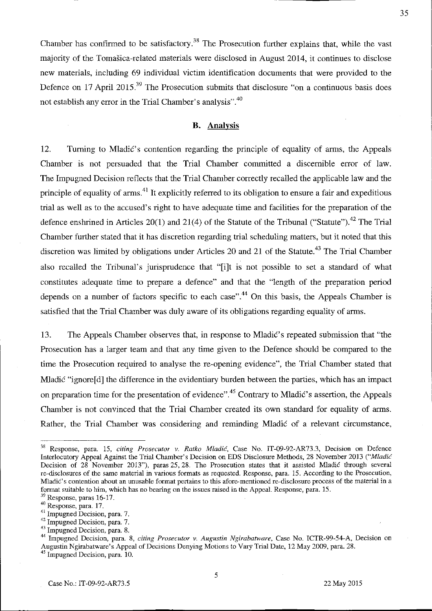Chamber has confirmed to be satisfactory.<sup>38</sup> The Prosecution further explains that, while the vast majority of the Tomasica-related materials were disclosed in August 2014, it continues to disclose new materials, including 69 individual victim identification documents that were provided to the Defence on 17 April 2015.<sup>39</sup> The Prosecution submits that disclosure "on a continuous basis does" not establish any error in the Trial Chamber's analysis".<sup>40</sup>

# **B.** Analysis

12. Turning to Mladić's contention regarding the principle of equality of arms, the Appeals Chamber is not persuaded that the Trial Chamber committed a discernible error of law. The Impugned Decision reflects that the Trial Chamber correctly recalled the applicable law and the principle of equality of arms.<sup>41</sup> It explicitly referred to its obligation to ensure a fair and expeditious trial as well as to the accused's right to have adequate time and facilities for the preparation of the defence enshrined in Articles 20(1) and 21(4) of the Statute of the Tribunal ("Statute").<sup>42</sup> The Trial Chamber further stated that it has discretion regarding trial scheduling matters, but it noted that this discretion was limited by obligations under Articles 20 and 21 of the Statute.<sup>43</sup> The Trial Chamber also recalled the Tribunal's jurisprudence that "[i]t is not possible to set a standard of what constitutes adequate time to prepare a defence" and that the "length of the preparation period depends on a number of factors specific to each case".<sup>44</sup> On this basis, the Appeals Chamber is satisfied that the Trial Chamber was duly aware of its obligations regarding equality of arms.

13. The Appeals Chamber observes that, in response to MladiC's repeated submission that "the Prosecution has a larger team and that any time given to the Defence should be compared to the time the Prosecution required to analyse the re-opening evidence", the Trial Chamber stated that Mladic "ignore<sup>[d]</sup> the difference in the evidentiary burden between the parties, which has an impact on preparation time for the presentation of evidence".<sup>45</sup> Contrary to Mladić's assertion, the Appeals Chamber is not convinced that the Trial Chamber created its own standard for equality of arms. Rather, the Trial Chamber was considering and reminding Mladic of a relevant circumstance,

<sup>38</sup> Response, para. 15, *citing Prosecutor* v. *Ratko Mladic.* Case No. IT-09-92-AR73.3, Decision on Defence Interlocutory Appeal Against the Trial Charuber's Decision on EDS Disclosure Methods, 28 November 2013 *("Mladic*  Decision of 28 November 2013"), paras 25, 28. The Prosecution states that it assisted Mladic through several **fe-disclosures of the same material in various formats as requested. Response, para. 15. According to the Prosecution, Mladie's contention about an unusable format pertains to this afore-mentioned fe-disclosure process of the material in a**  format suitable to him, which has no bearing on the issues raised in the Appeal. Response, para. 15.

<sup>39</sup> Response, paras 16-17.

**<sup>40</sup> Response, para. 17.** 

<sup>41</sup>**Impugned Decision, para. 7.** 

<sup>42</sup>**Impugned Decision, para. 7.** 

<sup>43</sup>**Impugned Decision, para. 8.** 

<sup>44</sup>**hnpugned Decision, para. 8,** *citing Prosecutor v. Augustin Ngirabatware,* **Case No. ICTR-99-54-A, Decision on**  Augustin Ngirabatware's Appeal of Decisions Denying Motions to Vary Trial Date, 12 May 2009, para. 28.

<sup>45</sup> Impugned Decision, para. 10.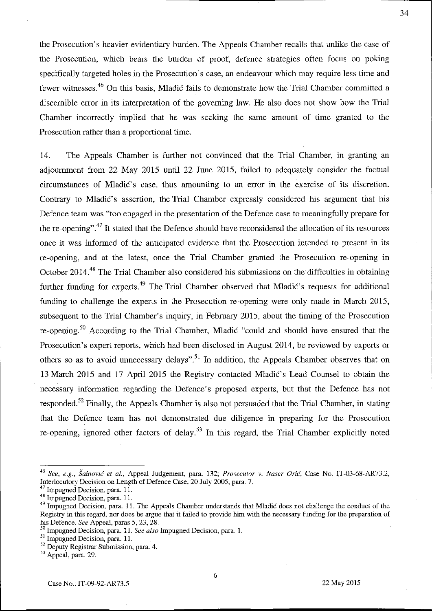the Prosecution's heavier evidentiary burden. The Appeals Chamber recalls that unlike the case of the Prosecution, which bears the burden of proof, defence strategies often focus ou poking specifically targeted holes in the Prosecution's case, an endeavour which may require less time and fewer witnesses 46 On this basis, Mladic fails to demonstrate how the Trial Chamber committed a discernible error in its interpretation of the governing law. He also does not show how the Trial Chamber incorrectly implied that he was seeking the same amount of time granted to the Prosecution rather than a proportional time.

14. The Appeals Chamber is further not convinced that the Trial Chamber, in granting an adjournment from 22 May 2015 until 22 June 2015, failed to adequately consider the factual circumstances of Mladic's case, thus amounting to an error in the exercise of its discretion. Contrary to Mladic's assertion, the Trial Chamber expressly considered his argument that his Defence team was "too engaged in the presentation of the Defence case to meaningfully prepare for the re-opening".<sup>47</sup> It stated that the Defence should have reconsidered the allocation of its resources once it was informed of the anticipated evidence that the Prosecution intended to present in its re-opening, and at the latest, once the Trial Chamber granted the Prosecution re-opening in October 2014.<sup>48</sup> The Trial Chamber also considered his submissions on the difficulties in obtaining further funding for experts.<sup>49</sup> The Trial Chamber observed that Mladic's requests for additional funding to challenge the experts in the Prosecution re-opening were only made in March 2015, subsequent to the Trial Chamber's inquiry, in February 2015, about the timing of the Prosecution re-opening.50 According to the Trial Chamber, Mladic "could and should have ensured that the Prosecution's expert reports, which had been disclosed in August 2014, be reviewed by experts or others so as to avoid unnecessary delays".<sup>51</sup> In addition, the Appeals Chamber observes that on 13 March 2015 and 17 April 2015 the Registry contacted Mladic's Lead Counsel to obtain the necessary information regarding the Defence's proposed experts, but that the Defence has not responded.<sup>52</sup> Finally, the Appeals Chamber is also not persuaded that the Trial Chamber, in stating that the Defence team has not demonstrated due diligence in preparing for the Prosecution re-opening, ignored other factors of delay.<sup>53</sup> In this regard, the Trial Chamber explicitly noted

*<sup>46</sup> See, e.g., Sainovic et al.,* Appeal Judgement, para. 132; *Prosecutor* v. *Naser Oric,* Case No. IT-03-68-AR73.2, Interlocutory Decision on Length of Defence Case, 20 July 2005, para. 7.

 $<sup>7</sup>$  Impugned Decision, para. 11.</sup>

<sup>48</sup> Impugned Decision, para. 11.

<sup>&</sup>lt;sup>49</sup> Impugned Decision, para. 11. The Appeals Chamber understands that Mladic does not challenge the conduct of the Registry in this regard, nor does be argue that it failed to provide him with the necessary funding for the preparation of his Defence. *See* Appeal, paras 5, 23, 28.

<sup>&</sup>lt;sup>3</sup> Impugned Decision, para. 11. *See also* Impugned Decision, para. 1.

<sup>51</sup> Impugned Decision, para. 11.

<sup>&</sup>lt;sup>52</sup> Deputy Registrar Submission, para. 4.

<sup>53</sup> Appeal, para. 29.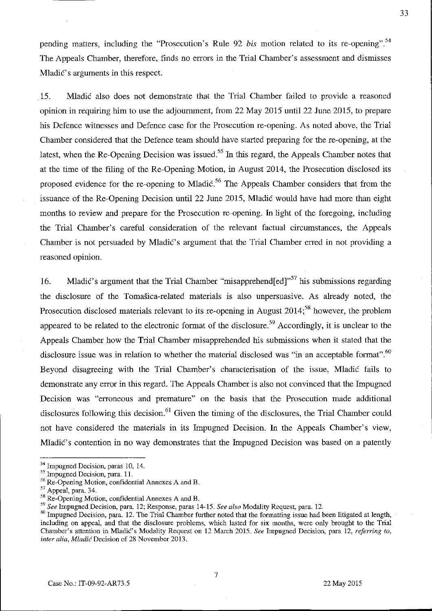pending matters, including the "Prosecution's Rule 92 *bis* motion related to its re-opening".54 The Appeals Chamber, therefore, finds no errors in the Trial Chamber's assessment and dismisses Mladić's arguments in this respect.

15. Mladic also does not demonstrate that the Trial Chamber failed to provide a reasoned opinion in requiring him to use the adjournment, from 22 May 2015 until 22 June 2015, to prepare his Defence witnesses and Defence case for the Prosecution re-opening. As noted above, the Trial Chamber considered that the Defence team should have started preparing for the re-opening, at the latest, when the Re-Opening Decision was issued.<sup>55</sup> In this regard, the Appeals Chamber notes that at the time of the filing of the Re-Opening Motion, in August 2014, the Prosecution disclosed its proposed evidence for the re-opening to Mladić.<sup>56</sup> The Appeals Chamber considers that from the issuance of the Re-Opening Decision until 22 June 2015, Mladic would have had more than eight months to review and prepare for the Prosecution re-opening. In light of the foregoing, including the Trial Chamber's careful consideration of the relevant factual circumstances, the Appeals Chamber is not persuaded by Mladic's argument that the Trial Chamber erred in not providing a reasoned opinion.

16. Mladić's argument that the Trial Chamber "misapprehend [ed]<sup> $,57$ </sup> his submissions regarding the disclosure of the Tomasica-related materials is also unpersuasive. As already noted, the Prosecution disclosed materials relevant to its re-opening in August  $2014$ ;<sup>58</sup> however, the problem appeared to be related to the electronic format of the disclosure.<sup>59</sup> Accordingly, it is unclear to the Appeals Chamber how the Trial Chamber misapprehended his submissions when it stated that the disclosure issue was in relation to whether the material disclosed was "in an acceptable format". $60$ Beyond disagreeing with the Trial Chamber's characterisation of the issue, Mladic fails to demonstrate any error in this regard. The Appeals Chamber is also not convinced that the Impugned Decision was "erroneous and premature" on the basis that the Prosecution made additional disclosures following this decision.<sup>61</sup> Given the timing of the disclosures, the Trial Chamber could not have considered the materials in its Impugned Decision. In the Appeals Chamber's view, Mladic's contention in no way demonstrates that the Impugned Decision was based on a patently

<sup>&</sup>lt;sup>54</sup> Impugned Decision, paras 10, 14.

<sup>&</sup>lt;sup>55</sup> Impugned Decision, para. 11.

<sup>56</sup> Re-Opening Motion, confidential Annexes A and B.

 $57$  Appeal, para. 34.

<sup>58</sup> Re-Opening Motion, confidential Annexes A and B.

*<sup>59</sup> See* Impugned Decision, para. 12; Response, paras 14-15. *See also* Modality Request, para. 12.

<sup>60</sup> Impugned Decision, para. 12. The Trial Chamber further noted that the formatting issue had been litigated at length, including on appeal, and that the disclosure problems, which lasted for six months, were only brought to the Trial Chamber's attention in MladiC's Modality Request on 12 March 2015. *See* Impugned Decision, para 12, *referring to, inter alia, MladicDecision* of 28 November 2013.